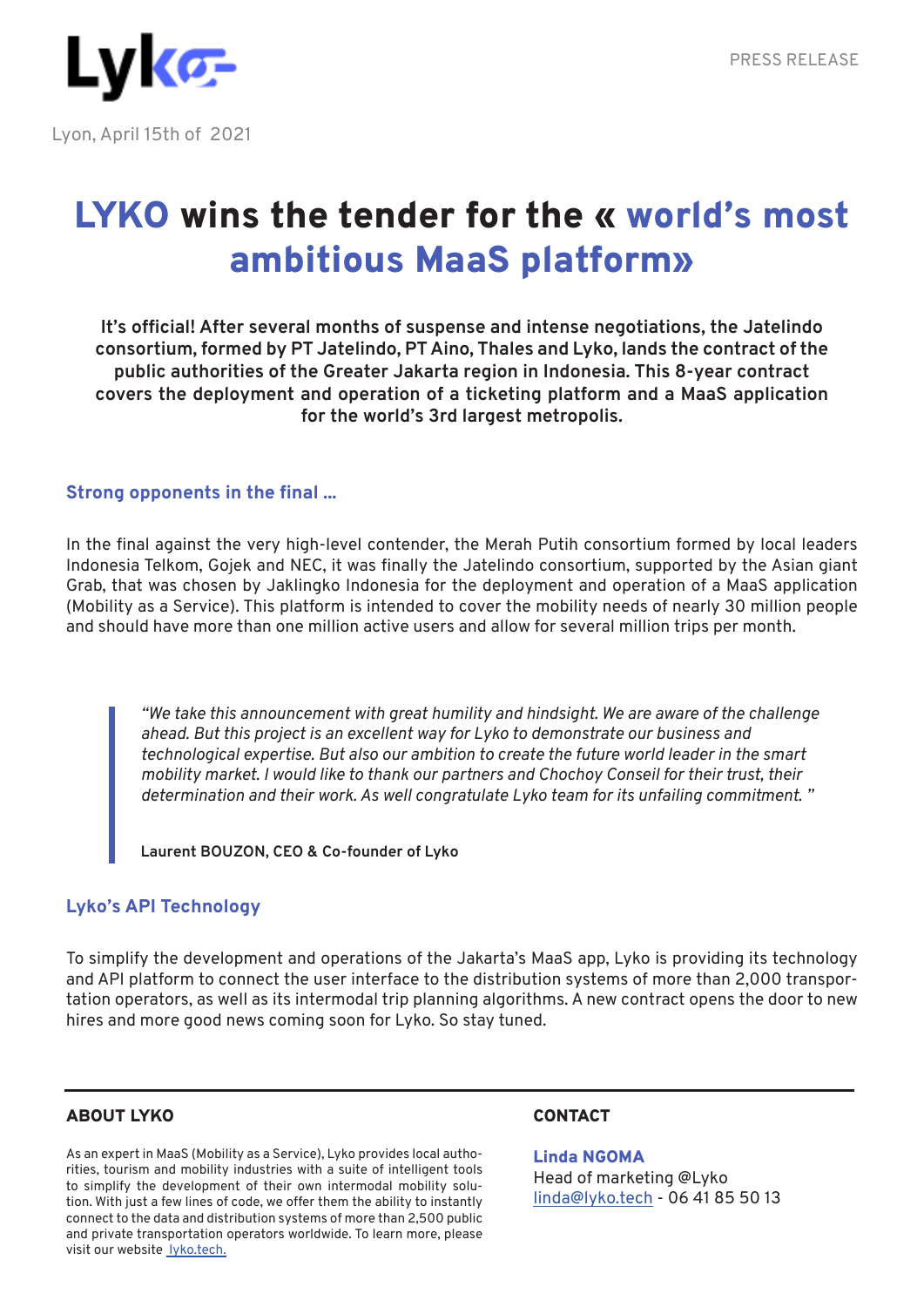

# LYKO wins the tender for the « world's most ambitious MaaS platform»

**It's official! After several months of suspense and intense negotiations, the Jatelindo consortium, formed by PT Jatelindo, PT Aino, Thales and Lyko, lands the contract of the public authorities of the Greater Jakarta region in Indonesia. This 8-year contract covers the deployment and operation of a ticketing platform and a MaaS application for the world's 3rd largest metropolis.**

## **Strong opponents in the final ...**

In the final against the very high-level contender, the Merah Putih consortium formed by local leaders Indonesia Telkom, Gojek and NEC, it was finally the Jatelindo consortium, supported by the Asian giant Grab, that was chosen by Jaklingko Indonesia for the deployment and operation of a MaaS application (Mobility as a Service). This platform is intended to cover the mobility needs of nearly 30 million people and should have more than one million active users and allow for several million trips per month.

*"We take this announcement with great humility and hindsight. We are aware of the challenge ahead. But this project is an excellent way for Lyko to demonstrate our business and technological expertise. But also our ambition to create the future world leader in the smart mobility market. I would like to thank our partners and Chochoy Conseil for their trust, their determination and their work. As well congratulate Lyko team for its unfailing commitment. "*

**Laurent BOUZON, CEO & Co-founder of Lyko**

## **Lyko's API Technology**

To simplify the development and operations of the Jakarta's MaaS app, Lyko is providing its technology and API platform to connect the user interface to the distribution systems of more than 2,000 transportation operators, as well as its intermodal trip planning algorithms. A new contract opens the door to new hires and more good news coming soon for Lyko. So stay tuned.

#### ABOUT LYKO

As an expert in MaaS (Mobility as a Service), Lyko provides local authorities, tourism and mobility industries with a suite of intelligent tools to simplify the development of their own intermodal mobility solution. With just a few lines of code, we offer them the ability to instantly connect to the data and distribution systems of more than 2,500 public and private transportation operators worldwide. To learn more, please visit our website lyko.tech.

## **CONTACT**

Linda NGOMA Head of marketing @Lyko linda@lyko.tech - 06 41 85 50 13